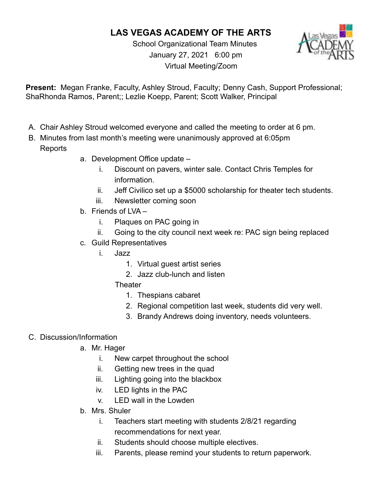## **LAS VEGAS ACADEMY OF THE ARTS**

School Organizational Team Minutes January 27, 2021 6:00 pm Virtual Meeting/Zoom



**Present:** Megan Franke, Faculty, Ashley Stroud, Faculty; Denny Cash, Support Professional; ShaRhonda Ramos, Parent;; Lezlie Koepp, Parent; Scott Walker, Principal

- A. Chair Ashley Stroud welcomed everyone and called the meeting to order at 6 pm.
- B. Minutes from last month's meeting were unanimously approved at 6:05pm Reports
	- a. Development Office update
		- i. Discount on pavers, winter sale. Contact Chris Temples for information.
		- ii. Jeff Civilico set up a \$5000 scholarship for theater tech students.
		- iii. Newsletter coming soon
	- b. Friends of LVA
		- i. Plaques on PAC going in
		- ii. Going to the city council next week re: PAC sign being replaced
	- c. Guild Representatives
		- i. Jazz
			- 1. Virtual guest artist series
			- 2. Jazz club-lunch and listen
			- **Theater** 
				- 1. Thespians cabaret
				- 2. Regional competition last week, students did very well.
				- 3. Brandy Andrews doing inventory, needs volunteers.

## C. Discussion/Information

- a. Mr. Hager
	- i. New carpet throughout the school
	- ii. Getting new trees in the quad
	- iii. Lighting going into the blackbox
	- iv. LED lights in the PAC
	- v. LED wall in the Lowden
- b. Mrs. Shuler
	- i. Teachers start meeting with students 2/8/21 regarding recommendations for next year.
	- ii. Students should choose multiple electives.
	- iii. Parents, please remind your students to return paperwork.